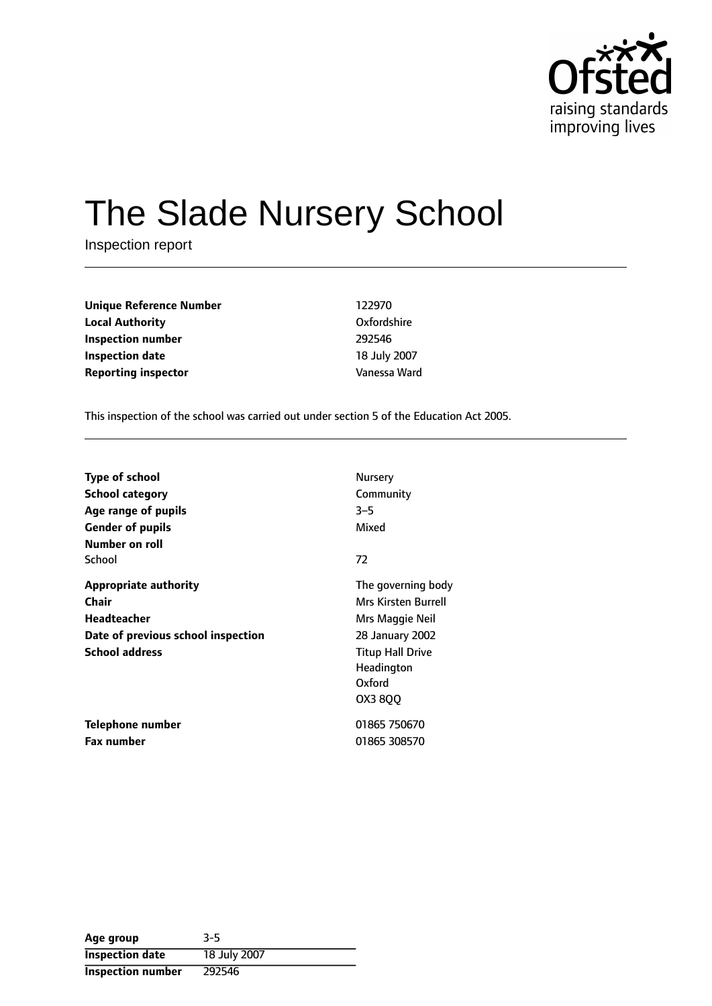

# The Slade Nursery School

Inspection report

| <b>Unique Reference Number</b> | 122970       |
|--------------------------------|--------------|
| <b>Local Authority</b>         | Oxfordshire  |
| Inspection number              | 292546       |
| Inspection date                | 18 July 2007 |
| <b>Reporting inspector</b>     | Vanessa Ward |

This inspection of the school was carried out under section 5 of the Education Act 2005.

| <b>Type of school</b><br><b>School category</b><br>Age range of pupils                                              | Nursery<br>Community<br>$3 - 5$                                                                                                               |
|---------------------------------------------------------------------------------------------------------------------|-----------------------------------------------------------------------------------------------------------------------------------------------|
| <b>Gender of pupils</b><br>Number on roll                                                                           | Mixed                                                                                                                                         |
| School                                                                                                              | 72                                                                                                                                            |
| <b>Appropriate authority</b><br>Chair<br>Headteacher<br>Date of previous school inspection<br><b>School address</b> | The governing body<br>Mrs Kirsten Burrell<br>Mrs Maggie Neil<br>28 January 2002<br><b>Titup Hall Drive</b><br>Headington<br>Oxford<br>OX3 8QQ |
| Telephone number                                                                                                    | 01865 750670                                                                                                                                  |
| <b>Fax number</b>                                                                                                   | 01865 308570                                                                                                                                  |

| Age group                | 3-5          |
|--------------------------|--------------|
| <b>Inspection date</b>   | 18 July 2007 |
| <b>Inspection number</b> | 292546       |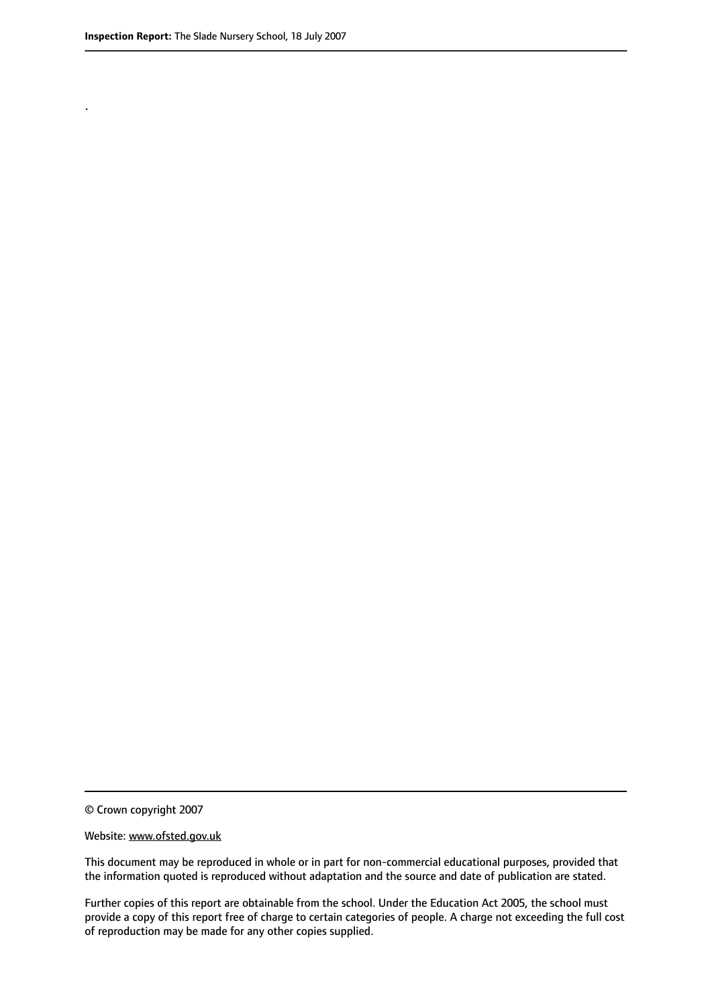.

© Crown copyright 2007

#### Website: www.ofsted.gov.uk

This document may be reproduced in whole or in part for non-commercial educational purposes, provided that the information quoted is reproduced without adaptation and the source and date of publication are stated.

Further copies of this report are obtainable from the school. Under the Education Act 2005, the school must provide a copy of this report free of charge to certain categories of people. A charge not exceeding the full cost of reproduction may be made for any other copies supplied.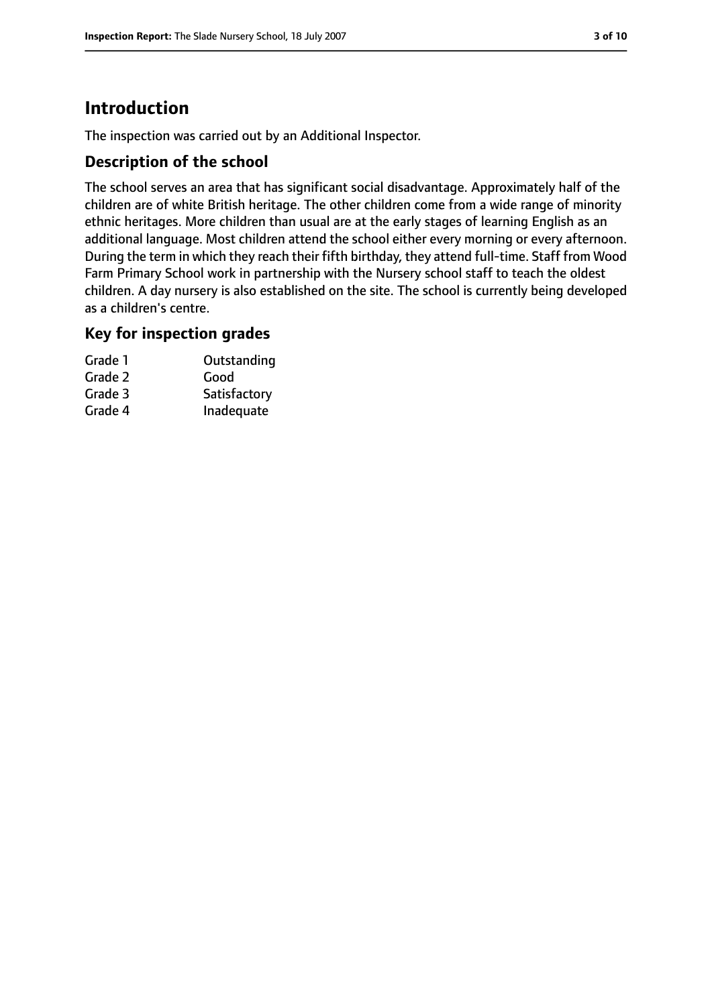# **Introduction**

The inspection was carried out by an Additional Inspector.

## **Description of the school**

The school serves an area that has significant social disadvantage. Approximately half of the children are of white British heritage. The other children come from a wide range of minority ethnic heritages. More children than usual are at the early stages of learning English as an additional language. Most children attend the school either every morning or every afternoon. During the term in which they reach their fifth birthday, they attend full-time. Staff from Wood Farm Primary School work in partnership with the Nursery school staff to teach the oldest children. A day nursery is also established on the site. The school is currently being developed as a children's centre.

### **Key for inspection grades**

| Grade 1 | Outstanding  |
|---------|--------------|
| Grade 2 | Good         |
| Grade 3 | Satisfactory |
| Grade 4 | Inadequate   |
|         |              |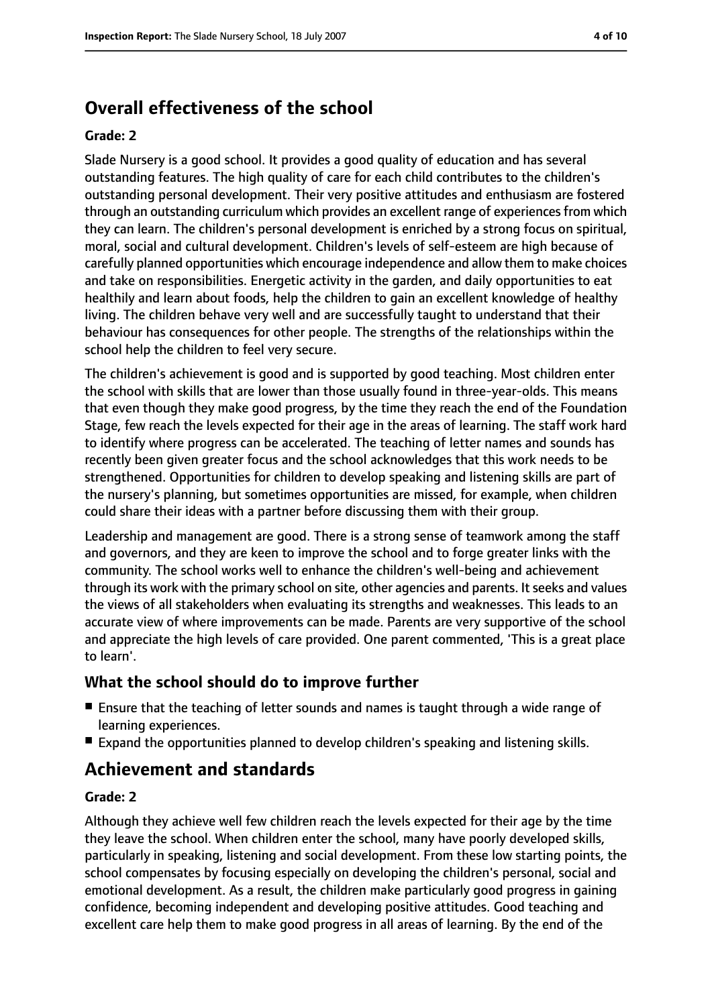# **Overall effectiveness of the school**

#### **Grade: 2**

Slade Nursery is a good school. It provides a good quality of education and has several outstanding features. The high quality of care for each child contributes to the children's outstanding personal development. Their very positive attitudes and enthusiasm are fostered through an outstanding curriculum which provides an excellent range of experiencesfrom which they can learn. The children's personal development is enriched by a strong focus on spiritual, moral, social and cultural development. Children's levels of self-esteem are high because of carefully planned opportunities which encourage independence and allow them to make choices and take on responsibilities. Energetic activity in the garden, and daily opportunities to eat healthily and learn about foods, help the children to gain an excellent knowledge of healthy living. The children behave very well and are successfully taught to understand that their behaviour has consequences for other people. The strengths of the relationships within the school help the children to feel very secure.

The children's achievement is good and is supported by good teaching. Most children enter the school with skills that are lower than those usually found in three-year-olds. This means that even though they make good progress, by the time they reach the end of the Foundation Stage, few reach the levels expected for their age in the areas of learning. The staff work hard to identify where progress can be accelerated. The teaching of letter names and sounds has recently been given greater focus and the school acknowledges that this work needs to be strengthened. Opportunities for children to develop speaking and listening skills are part of the nursery's planning, but sometimes opportunities are missed, for example, when children could share their ideas with a partner before discussing them with their group.

Leadership and management are good. There is a strong sense of teamwork among the staff and governors, and they are keen to improve the school and to forge greater links with the community. The school works well to enhance the children's well-being and achievement through its work with the primary school on site, other agencies and parents. It seeks and values the views of all stakeholders when evaluating its strengths and weaknesses. This leads to an accurate view of where improvements can be made. Parents are very supportive of the school and appreciate the high levels of care provided. One parent commented, 'This is a great place to learn'.

## **What the school should do to improve further**

- Ensure that the teaching of letter sounds and names is taught through a wide range of learning experiences.
- Expand the opportunities planned to develop children's speaking and listening skills.

# **Achievement and standards**

#### **Grade: 2**

Although they achieve well few children reach the levels expected for their age by the time they leave the school. When children enter the school, many have poorly developed skills, particularly in speaking, listening and social development. From these low starting points, the school compensates by focusing especially on developing the children's personal, social and emotional development. As a result, the children make particularly good progress in gaining confidence, becoming independent and developing positive attitudes. Good teaching and excellent care help them to make good progress in all areas of learning. By the end of the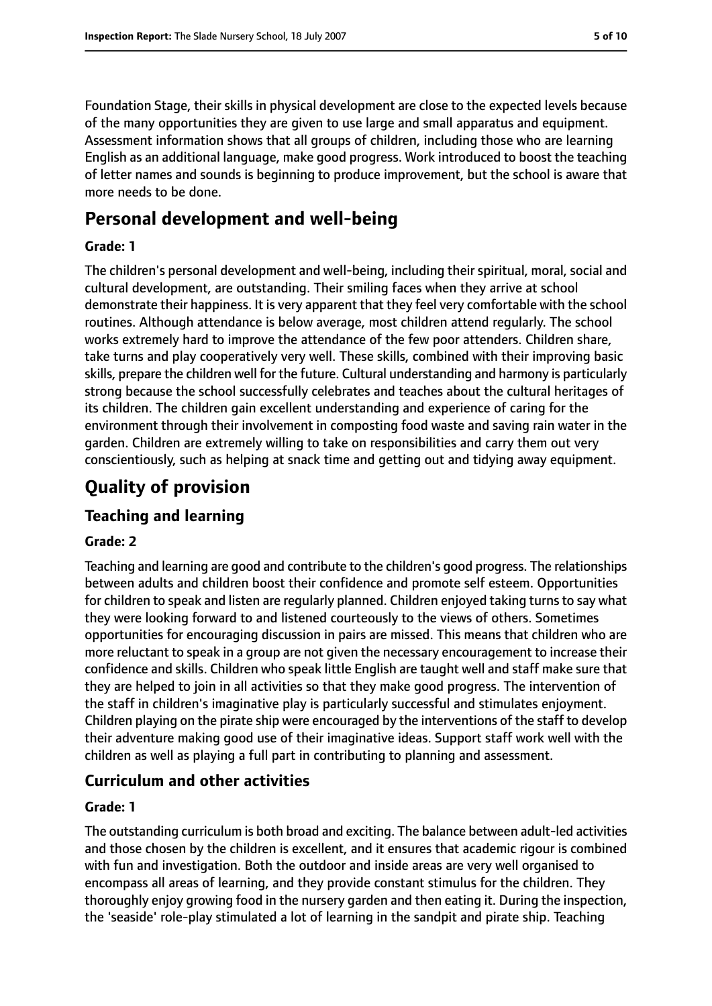Foundation Stage, their skills in physical development are close to the expected levels because of the many opportunities they are given to use large and small apparatus and equipment. Assessment information shows that all groups of children, including those who are learning English as an additional language, make good progress. Work introduced to boost the teaching of letter names and sounds is beginning to produce improvement, but the school is aware that more needs to be done.

# **Personal development and well-being**

#### **Grade: 1**

The children's personal development and well-being, including their spiritual, moral, social and cultural development, are outstanding. Their smiling faces when they arrive at school demonstrate their happiness. It is very apparent that they feel very comfortable with the school routines. Although attendance is below average, most children attend regularly. The school works extremely hard to improve the attendance of the few poor attenders. Children share, take turns and play cooperatively very well. These skills, combined with their improving basic skills, prepare the children well for the future. Cultural understanding and harmony is particularly strong because the school successfully celebrates and teaches about the cultural heritages of its children. The children gain excellent understanding and experience of caring for the environment through their involvement in composting food waste and saving rain water in the garden. Children are extremely willing to take on responsibilities and carry them out very conscientiously, such as helping at snack time and getting out and tidying away equipment.

# **Quality of provision**

## **Teaching and learning**

#### **Grade: 2**

Teaching and learning are good and contribute to the children's good progress. The relationships between adults and children boost their confidence and promote self esteem. Opportunities for children to speak and listen are regularly planned. Children enjoyed taking turns to say what they were looking forward to and listened courteously to the views of others. Sometimes opportunities for encouraging discussion in pairs are missed. This means that children who are more reluctant to speak in a group are not given the necessary encouragement to increase their confidence and skills. Children who speak little English are taught well and staff make sure that they are helped to join in all activities so that they make good progress. The intervention of the staff in children's imaginative play is particularly successful and stimulates enjoyment. Children playing on the pirate ship were encouraged by the interventions of the staff to develop their adventure making good use of their imaginative ideas. Support staff work well with the children as well as playing a full part in contributing to planning and assessment.

## **Curriculum and other activities**

#### **Grade: 1**

The outstanding curriculum is both broad and exciting. The balance between adult-led activities and those chosen by the children is excellent, and it ensures that academic rigour is combined with fun and investigation. Both the outdoor and inside areas are very well organised to encompass all areas of learning, and they provide constant stimulus for the children. They thoroughly enjoy growing food in the nursery garden and then eating it. During the inspection, the 'seaside' role-play stimulated a lot of learning in the sandpit and pirate ship. Teaching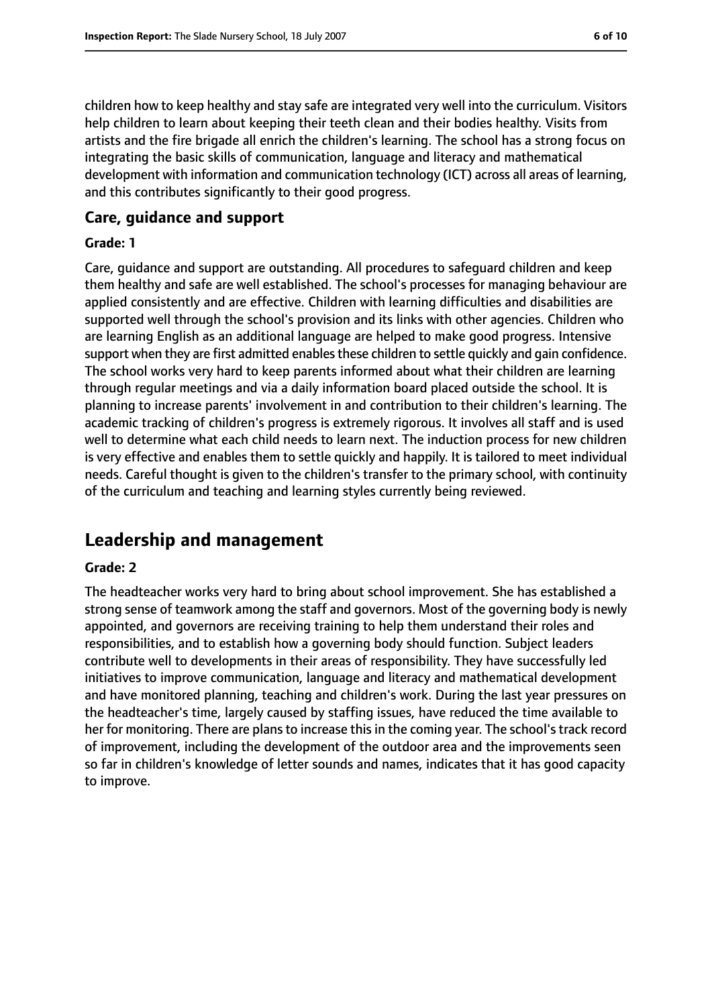children how to keep healthy and stay safe are integrated very well into the curriculum. Visitors help children to learn about keeping their teeth clean and their bodies healthy. Visits from artists and the fire brigade all enrich the children's learning. The school has a strong focus on integrating the basic skills of communication, language and literacy and mathematical development with information and communication technology (ICT) across all areas of learning, and this contributes significantly to their good progress.

#### **Care, guidance and support**

#### **Grade: 1**

Care, guidance and support are outstanding. All procedures to safeguard children and keep them healthy and safe are well established. The school's processes for managing behaviour are applied consistently and are effective. Children with learning difficulties and disabilities are supported well through the school's provision and its links with other agencies. Children who are learning English as an additional language are helped to make good progress. Intensive support when they are first admitted enables these children to settle quickly and gain confidence. The school works very hard to keep parents informed about what their children are learning through regular meetings and via a daily information board placed outside the school. It is planning to increase parents' involvement in and contribution to their children's learning. The academic tracking of children's progress is extremely rigorous. It involves all staff and is used well to determine what each child needs to learn next. The induction process for new children is very effective and enables them to settle quickly and happily. It is tailored to meet individual needs. Careful thought is given to the children's transfer to the primary school, with continuity of the curriculum and teaching and learning styles currently being reviewed.

# **Leadership and management**

#### **Grade: 2**

The headteacher works very hard to bring about school improvement. She has established a strong sense of teamwork among the staff and governors. Most of the governing body is newly appointed, and governors are receiving training to help them understand their roles and responsibilities, and to establish how a governing body should function. Subject leaders contribute well to developments in their areas of responsibility. They have successfully led initiatives to improve communication, language and literacy and mathematical development and have monitored planning, teaching and children's work. During the last year pressures on the headteacher's time, largely caused by staffing issues, have reduced the time available to her for monitoring. There are plans to increase this in the coming year. The school's track record of improvement, including the development of the outdoor area and the improvements seen so far in children's knowledge of letter sounds and names, indicates that it has good capacity to improve.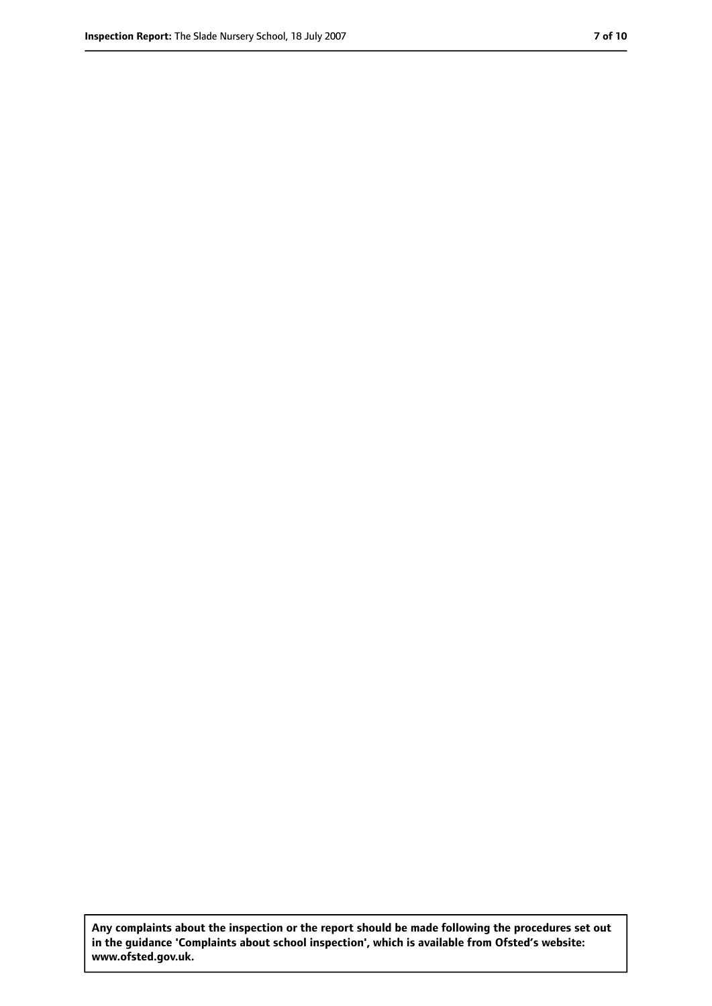**Any complaints about the inspection or the report should be made following the procedures set out in the guidance 'Complaints about school inspection', which is available from Ofsted's website: www.ofsted.gov.uk.**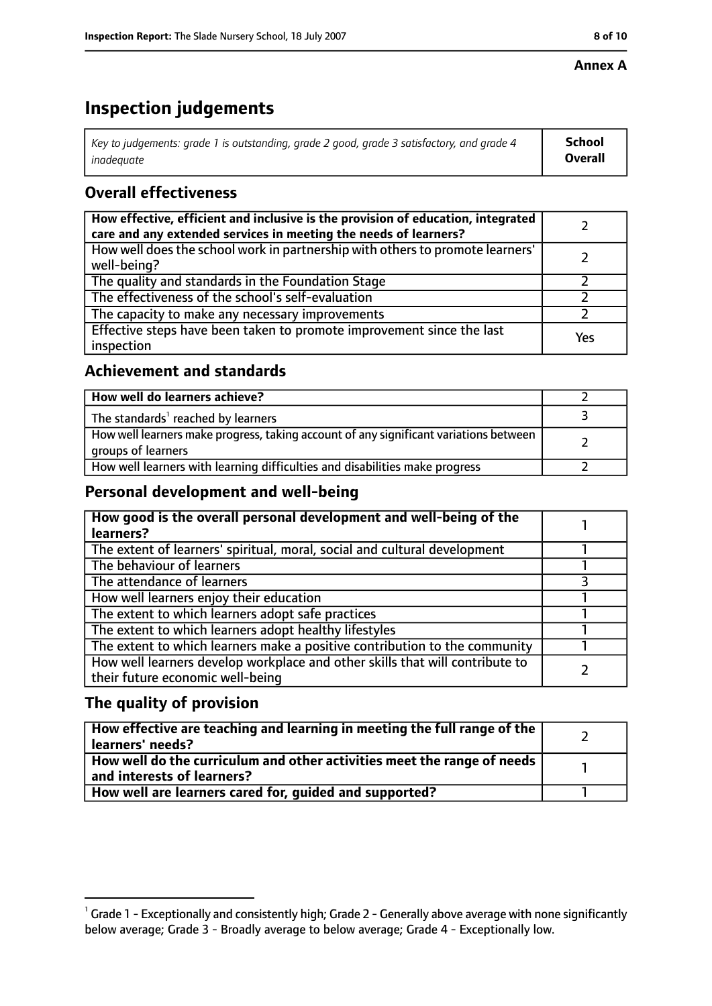#### **Annex A**

# **Inspection judgements**

| Key to judgements: grade 1 is outstanding, grade 2 good, grade 3 satisfactory, and grade 4 | <b>School</b>  |
|--------------------------------------------------------------------------------------------|----------------|
| inadeauate                                                                                 | <b>Overall</b> |

# **Overall effectiveness**

| How effective, efficient and inclusive is the provision of education, integrated<br>care and any extended services in meeting the needs of learners? |     |
|------------------------------------------------------------------------------------------------------------------------------------------------------|-----|
| How well does the school work in partnership with others to promote learners'<br>well-being?                                                         |     |
| The quality and standards in the Foundation Stage                                                                                                    |     |
| The effectiveness of the school's self-evaluation                                                                                                    |     |
| The capacity to make any necessary improvements                                                                                                      |     |
| Effective steps have been taken to promote improvement since the last<br>inspection                                                                  | Yes |

## **Achievement and standards**

| How well do learners achieve?                                                                               |  |
|-------------------------------------------------------------------------------------------------------------|--|
| The standards <sup>1</sup> reached by learners                                                              |  |
| How well learners make progress, taking account of any significant variations between<br>groups of learners |  |
| How well learners with learning difficulties and disabilities make progress                                 |  |

## **Personal development and well-being**

| How good is the overall personal development and well-being of the<br>learners?                                  |  |
|------------------------------------------------------------------------------------------------------------------|--|
| The extent of learners' spiritual, moral, social and cultural development                                        |  |
| The behaviour of learners                                                                                        |  |
| The attendance of learners                                                                                       |  |
| How well learners enjoy their education                                                                          |  |
| The extent to which learners adopt safe practices                                                                |  |
| The extent to which learners adopt healthy lifestyles                                                            |  |
| The extent to which learners make a positive contribution to the community                                       |  |
| How well learners develop workplace and other skills that will contribute to<br>their future economic well-being |  |

# **The quality of provision**

| How effective are teaching and learning in meeting the full range of the<br>learners' needs?          |  |
|-------------------------------------------------------------------------------------------------------|--|
| How well do the curriculum and other activities meet the range of needs<br>and interests of learners? |  |
| How well are learners cared for, quided and supported?                                                |  |

 $^1$  Grade 1 - Exceptionally and consistently high; Grade 2 - Generally above average with none significantly below average; Grade 3 - Broadly average to below average; Grade 4 - Exceptionally low.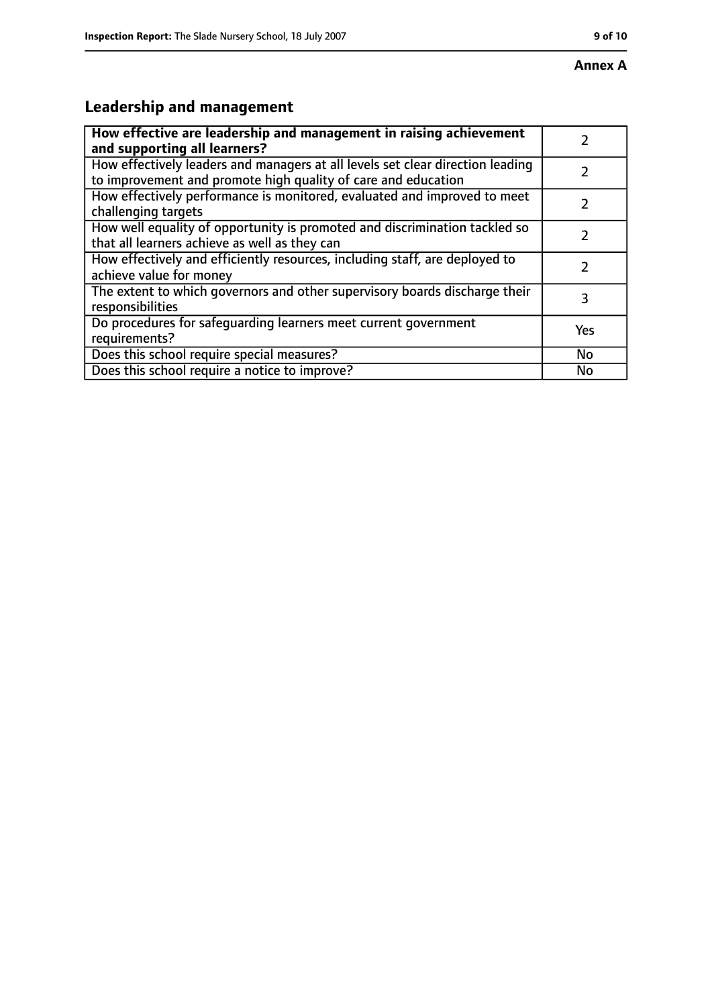# **Annex A**

# **Leadership and management**

| How effective are leadership and management in raising achievement<br>and supporting all learners?                                              |     |
|-------------------------------------------------------------------------------------------------------------------------------------------------|-----|
| How effectively leaders and managers at all levels set clear direction leading<br>to improvement and promote high quality of care and education |     |
| How effectively performance is monitored, evaluated and improved to meet<br>challenging targets                                                 |     |
| How well equality of opportunity is promoted and discrimination tackled so<br>that all learners achieve as well as they can                     |     |
| How effectively and efficiently resources, including staff, are deployed to<br>achieve value for money                                          | 2   |
| The extent to which governors and other supervisory boards discharge their<br>responsibilities                                                  | 3   |
| Do procedures for safequarding learners meet current government<br>requirements?                                                                | Yes |
| Does this school require special measures?                                                                                                      | No  |
| Does this school require a notice to improve?                                                                                                   | No  |